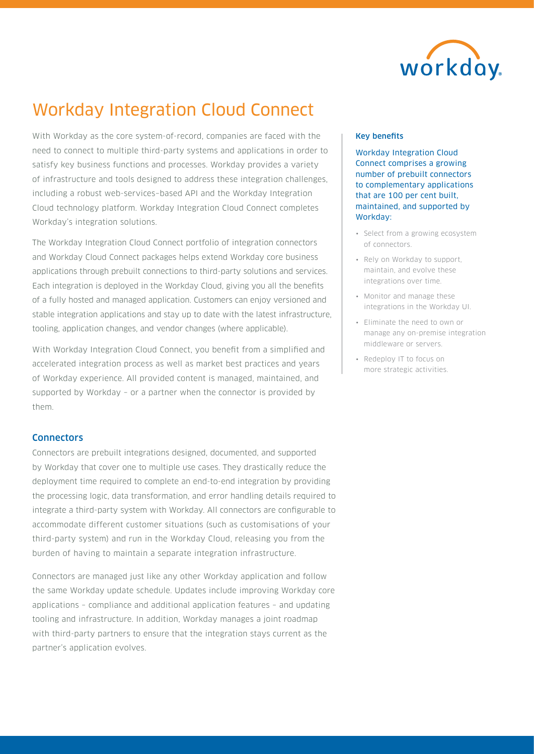

# Workday Integration Cloud Connect

With Workday as the core system-of-record, companies are faced with the need to connect to multiple third-party systems and applications in order to satisfy key business functions and processes. Workday provides a variety of infrastructure and tools designed to address these integration challenges, including a robust web-services–based API and the Workday Integration Cloud technology platform. Workday Integration Cloud Connect completes Workday's integration solutions.

The Workday Integration Cloud Connect portfolio of integration connectors and Workday Cloud Connect packages helps extend Workday core business applications through prebuilt connections to third-party solutions and services. Each integration is deployed in the Workday Cloud, giving you all the benefits of a fully hosted and managed application. Customers can enjoy versioned and stable integration applications and stay up to date with the latest infrastructure, tooling, application changes, and vendor changes (where applicable).

With Workday Integration Cloud Connect, you benefit from a simplified and accelerated integration process as well as market best practices and years of Workday experience. All provided content is managed, maintained, and supported by Workday – or a partner when the connector is provided by them.

# **Connectors**

Connectors are prebuilt integrations designed, documented, and supported by Workday that cover one to multiple use cases. They drastically reduce the deployment time required to complete an end-to-end integration by providing the processing logic, data transformation, and error handling details required to integrate a third-party system with Workday. All connectors are configurable to accommodate different customer situations (such as customisations of your third-party system) and run in the Workday Cloud, releasing you from the burden of having to maintain a separate integration infrastructure.

Connectors are managed just like any other Workday application and follow the same Workday update schedule. Updates include improving Workday core applications – compliance and additional application features – and updating tooling and infrastructure. In addition, Workday manages a joint roadmap with third-party partners to ensure that the integration stays current as the partner's application evolves.

## Key benefits

Workday Integration Cloud Connect comprises a growing number of prebuilt connectors to complementary applications that are 100 per cent built, maintained, and supported by Workday:

- Select from a growing ecosystem of connectors.
- Rely on Workday to support, maintain, and evolve these integrations over time.
- Monitor and manage these integrations in the Workday UI.
- Eliminate the need to own or manage any on-premise integration middleware or servers.
- Redeploy IT to focus on more strategic activities.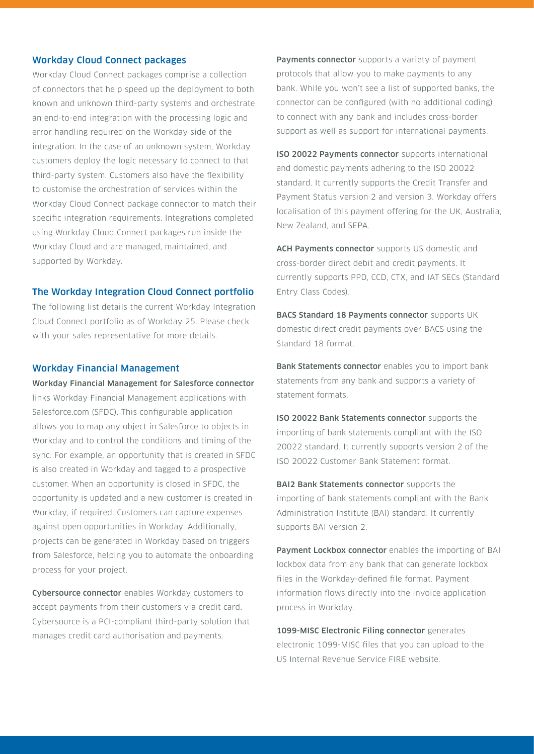## Workday Cloud Connect packages

Workday Cloud Connect packages comprise a collection of connectors that help speed up the deployment to both known and unknown third-party systems and orchestrate an end-to-end integration with the processing logic and error handling required on the Workday side of the integration. In the case of an unknown system, Workday customers deploy the logic necessary to connect to that third-party system. Customers also have the flexibility to customise the orchestration of services within the Workday Cloud Connect package connector to match their specific integration requirements. Integrations completed using Workday Cloud Connect packages run inside the Workday Cloud and are managed, maintained, and supported by Workday.

## The Workday Integration Cloud Connect portfolio

The following list details the current Workday Integration Cloud Connect portfolio as of Workday 25. Please check with your sales representative for more details.

## Workday Financial Management

Workday Financial Management for Salesforce connector links Workday Financial Management applications with Salesforce.com (SFDC). This configurable application allows you to map any object in Salesforce to objects in Workday and to control the conditions and timing of the sync. For example, an opportunity that is created in SFDC is also created in Workday and tagged to a prospective customer. When an opportunity is closed in SFDC, the opportunity is updated and a new customer is created in Workday, if required. Customers can capture expenses against open opportunities in Workday. Additionally, projects can be generated in Workday based on triggers from Salesforce, helping you to automate the onboarding process for your project.

Cybersource connector enables Workday customers to accept payments from their customers via credit card. Cybersource is a PCI-compliant third-party solution that manages credit card authorisation and payments.

Payments connector supports a variety of payment protocols that allow you to make payments to any bank. While you won't see a list of supported banks, the connector can be configured (with no additional coding) to connect with any bank and includes cross-border support as well as support for international payments.

ISO 20022 Payments connector supports international and domestic payments adhering to the ISO 20022 standard. It currently supports the Credit Transfer and Payment Status version 2 and version 3. Workday offers localisation of this payment offering for the UK, Australia, New Zealand, and SEPA.

ACH Payments connector supports US domestic and cross-border direct debit and credit payments. It currently supports PPD, CCD, CTX, and IAT SECs (Standard Entry Class Codes).

BACS Standard 18 Payments connector supports UK domestic direct credit payments over BACS using the Standard 18 format.

Bank Statements connector enables you to import bank statements from any bank and supports a variety of statement formats.

ISO 20022 Bank Statements connector supports the importing of bank statements compliant with the ISO 20022 standard. It currently supports version 2 of the ISO 20022 Customer Bank Statement format.

**BAI2 Bank Statements connector** supports the importing of bank statements compliant with the Bank Administration Institute (BAI) standard. It currently supports BAI version 2.

Payment Lockbox connector enables the importing of BAI lockbox data from any bank that can generate lockbox files in the Workday-defined file format. Payment information flows directly into the invoice application process in Workday.

1099-MISC Electronic Filing connector generates electronic 1099-MISC files that you can upload to the US Internal Revenue Service FIRE website.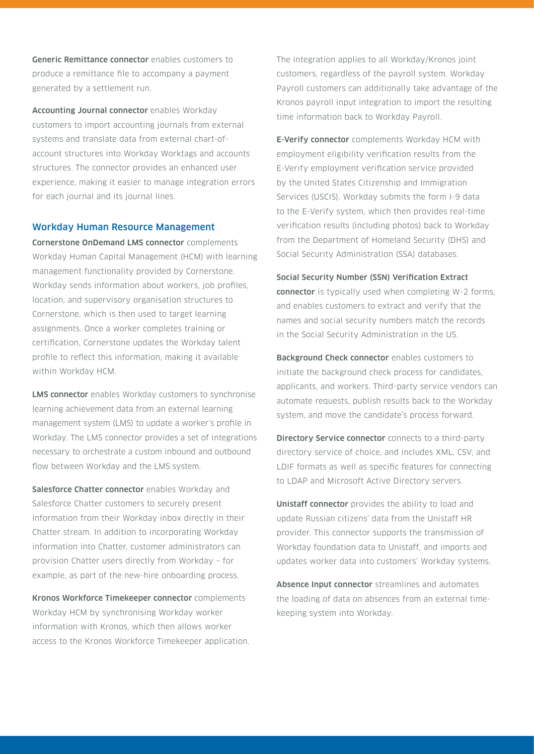Generic Remittance connector enables customers to produce a remittance file to accompany a payment generated by a settlement run.

Accounting Journal connector enables Workday customers to import accounting journals from external systems and translate data from external chart-ofaccount structures into Workday Worktags and accounts structures. The connector provides an enhanced user experience, making it easier to manage integration errors for each journal and its journal lines.

## Workday Human Resource Management

Cornerstone OnDemand LMS connector complements Workday Human Capital Management (HCM) with learning management functionality provided by Cornerstone. Workday sends information about workers, job profiles, location, and supervisory organisation structures to Cornerstone, which is then used to target learning assignments. Once a worker completes training or certification, Cornerstone updates the Workday talent profile to reflect this information, making it available within Workday HCM.

LMS connector enables Workday customers to synchronise learning achievement data from an external learning management system (LMS) to update a worker's profile in Workday. The LMS connector provides a set of integrations necessary to orchestrate a custom inbound and outbound flow between Workday and the LMS system.

Salesforce Chatter connector enables Workday and Salesforce Chatter customers to securely present information from their Workday inbox directly in their Chatter stream. In addition to incorporating Workday information into Chatter, customer administrators can provision Chatter users directly from Workday – for example, as part of the new-hire onboarding process.

Kronos Workforce Timekeeper connector complements Workday HCM by synchronising Workday worker information with Kronos, which then allows worker access to the Kronos Workforce Timekeeper application. The integration applies to all Workday/Kronos joint customers, regardless of the payroll system. Workday Payroll customers can additionally take advantage of the Kronos payroll input integration to import the resulting time information back to Workday Payroll.

**E-Verify connector** complements Workday HCM with employment eligibility verification results from the E-Verify employment verification service provided by the United States Citizenship and Immigration Services (USCIS). Workday submits the form I-9 data to the E-Verify system, which then provides real-time verification results (including photos) back to Workday from the Department of Homeland Security (DHS) and Social Security Administration (SSA) databases.

#### Social Security Number (SSN) Verification Extract

connector is typically used when completing W-2 forms, and enables customers to extract and verify that the names and social security numbers match the records in the Social Security Administration in the US.

Background Check connector enables customers to initiate the background check process for candidates, applicants, and workers. Third-party service vendors can automate requests, publish results back to the Workday system, and move the candidate's process forward.

Directory Service connector connects to a third-party directory service of choice, and includes XML, CSV, and LDIF formats as well as specific features for connecting to LDAP and Microsoft Active Directory servers.

Unistaff connector provides the ability to load and update Russian citizens' data from the Unistaff HR provider. This connector supports the transmission of Workday foundation data to Unistaff, and imports and updates worker data into customers' Workday systems.

Absence Input connector streamlines and automates the loading of data on absences from an external timekeeping system into Workday.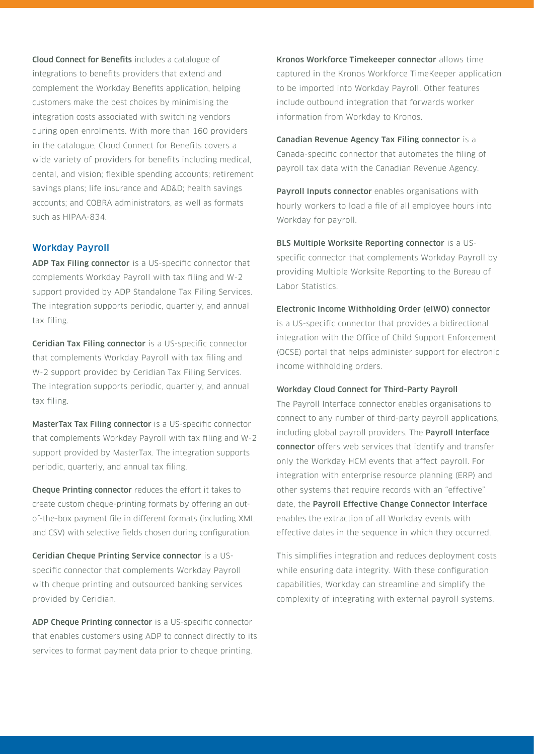Cloud Connect for Benefits includes a catalogue of integrations to benefits providers that extend and complement the Workday Benefits application, helping customers make the best choices by minimising the integration costs associated with switching vendors during open enrolments. With more than 160 providers in the catalogue, Cloud Connect for Benefits covers a wide variety of providers for benefits including medical, dental, and vision; flexible spending accounts; retirement savings plans; life insurance and AD&D; health savings accounts; and COBRA administrators, as well as formats such as HIPAA-834.

# Workday Payroll

ADP Tax Filing connector is a US-specific connector that complements Workday Payroll with tax filing and W-2 support provided by ADP Standalone Tax Filing Services. The integration supports periodic, quarterly, and annual tax filing.

Ceridian Tax Filing connector is a US-specific connector that complements Workday Payroll with tax filing and W-2 support provided by Ceridian Tax Filing Services. The integration supports periodic, quarterly, and annual tax filing.

MasterTax Tax Filing connector is a US-specific connector that complements Workday Payroll with tax filing and W-2 support provided by MasterTax. The integration supports periodic, quarterly, and annual tax filing.

Cheque Printing connector reduces the effort it takes to create custom cheque-printing formats by offering an outof-the-box payment file in different formats (including XML and CSV) with selective fields chosen during configuration.

Ceridian Cheque Printing Service connector is a USspecific connector that complements Workday Payroll with cheque printing and outsourced banking services provided by Ceridian.

ADP Cheque Printing connector is a US-specific connector that enables customers using ADP to connect directly to its services to format payment data prior to cheque printing.

Kronos Workforce Timekeeper connector allows time captured in the Kronos Workforce TimeKeeper application to be imported into Workday Payroll. Other features include outbound integration that forwards worker information from Workday to Kronos.

Canadian Revenue Agency Tax Filing connector is a Canada-specific connector that automates the filing of payroll tax data with the Canadian Revenue Agency.

Payroll Inputs connector enables organisations with hourly workers to load a file of all employee hours into Workday for payroll.

BLS Multiple Worksite Reporting connector is a USspecific connector that complements Workday Payroll by providing Multiple Worksite Reporting to the Bureau of Labor Statistics.

## Electronic Income Withholding Order (eIWO) connector

is a US-specific connector that provides a bidirectional integration with the Office of Child Support Enforcement (OCSE) portal that helps administer support for electronic income withholding orders.

## Workday Cloud Connect for Third-Party Payroll

The Payroll Interface connector enables organisations to connect to any number of third-party payroll applications, including global payroll providers. The **Payroll Interface** connector offers web services that identify and transfer only the Workday HCM events that affect payroll. For integration with enterprise resource planning (ERP) and other systems that require records with an "effective" date, the Payroll Effective Change Connector Interface enables the extraction of all Workday events with effective dates in the sequence in which they occurred.

This simplifies integration and reduces deployment costs while ensuring data integrity. With these configuration capabilities, Workday can streamline and simplify the complexity of integrating with external payroll systems.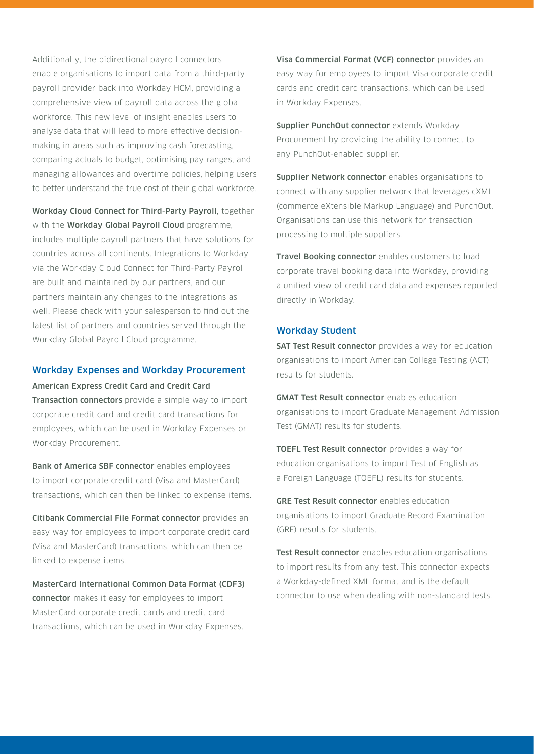Additionally, the bidirectional payroll connectors enable organisations to import data from a third-party payroll provider back into Workday HCM, providing a comprehensive view of payroll data across the global workforce. This new level of insight enables users to analyse data that will lead to more effective decisionmaking in areas such as improving cash forecasting, comparing actuals to budget, optimising pay ranges, and managing allowances and overtime policies, helping users to better understand the true cost of their global workforce.

Workday Cloud Connect for Third-Party Payroll, together with the **Workday Global Payroll Cloud** programme, includes multiple payroll partners that have solutions for countries across all continents. Integrations to Workday via the Workday Cloud Connect for Third-Party Payroll are built and maintained by our partners, and our partners maintain any changes to the integrations as well. Please check with your salesperson to find out the latest list of partners and countries served through the Workday Global Payroll Cloud programme.

# Workday Expenses and Workday Procurement American Express Credit Card and Credit Card

Transaction connectors provide a simple way to import corporate credit card and credit card transactions for employees, which can be used in Workday Expenses or Workday Procurement.

Bank of America SBF connector enables employees to import corporate credit card (Visa and MasterCard) transactions, which can then be linked to expense items.

Citibank Commercial File Format connector provides an easy way for employees to import corporate credit card (Visa and MasterCard) transactions, which can then be linked to expense items.

MasterCard International Common Data Format (CDF3) connector makes it easy for employees to import MasterCard corporate credit cards and credit card transactions, which can be used in Workday Expenses.

Visa Commercial Format (VCF) connector provides an easy way for employees to import Visa corporate credit cards and credit card transactions, which can be used in Workday Expenses.

Supplier PunchOut connector extends Workday Procurement by providing the ability to connect to any PunchOut-enabled supplier.

Supplier Network connector enables organisations to connect with any supplier network that leverages cXML (commerce eXtensible Markup Language) and PunchOut. Organisations can use this network for transaction processing to multiple suppliers.

Travel Booking connector enables customers to load corporate travel booking data into Workday, providing a unified view of credit card data and expenses reported directly in Workday.

# Workday Student

**SAT Test Result connector** provides a way for education organisations to import American College Testing (ACT) results for students.

**GMAT Test Result connector** enables education organisations to import Graduate Management Admission Test (GMAT) results for students.

TOEFL Test Result connector provides a way for education organisations to import Test of English as a Foreign Language (TOEFL) results for students.

GRE Test Result connector enables education organisations to import Graduate Record Examination (GRE) results for students.

Test Result connector enables education organisations to import results from any test. This connector expects a Workday-defined XML format and is the default connector to use when dealing with non-standard tests.